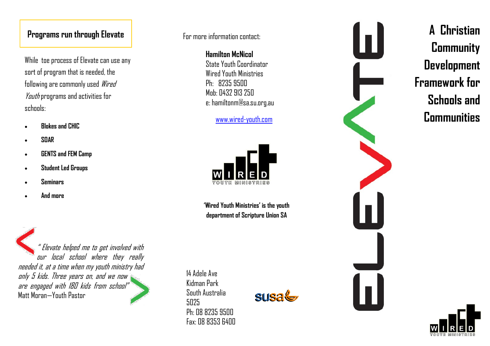While toe process of Elevate can use any sort of program that is needed, the following are commonly used Wired Youth programs and activities for schools:

- **Blokes and CHIC**
- **SOAR**
- **GENTS and FEM Camp**
- **Student Led Groups**
- **Seminars**
- **And more**

" Elevate helped me to get involved with our local school where they really needed it, at a time when my youth ministry had only 5 kids. Three years on, and we now are engaged with 180 kids from school" Matt Moran —Youth Pastor

For more information contact:

**Hamilton McNicol** State Youth Coordinator Wired Youth Ministries Ph: 8235 9500 Mob: 0432 913 250 e: hamiltonm@sa.su.org.au

## www.wired [-youth.com](http://www.wired-youth.com/)



**'Wired Youth Ministries' is the youth department of Scripture Union SA**

14 Adele Ave Kidman Park South Australia 5025 Ph: 08 8235 9500 Fax: 08 8353 6400





**Community Development Framework for Schools and Communities**